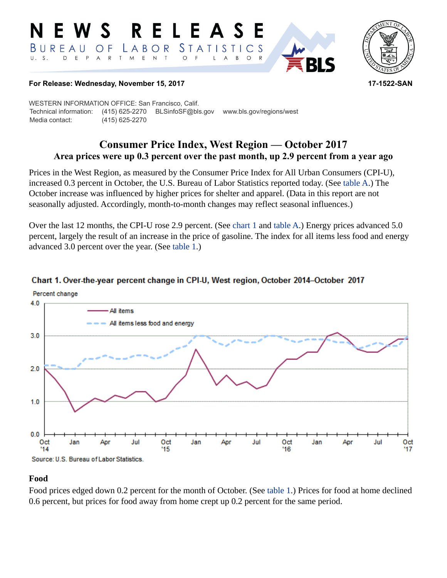#### RELEAS **S** *STATISTICS* BUREAU LABOR O F D E P  $\mathsf{T}$  $E$  $\mathsf{N}\xspace$  $\top$  $U. S.$  $\overline{A}$  ${\sf R}$ M  $\circ$  $B$  $\circ$  $\mathsf{R}$ L  $\overline{A}$



#### **For Release: Wednesday, November 15, 2017 17-1522-SAN**

WESTERN INFORMATION OFFICE: San Francisco, Calif. Technical information: (415) 625-2270 BLSinfoSF@bls.gov www.bls.gov/regions/west Media contact: (415) 625-2270

# **Consumer Price Index, West Region — October 2017 Area prices were up 0.3 percent over the past month, up 2.9 percent from a year ago**

Prices in the West Region, as measured by the Consumer Price Index for All Urban Consumers (CPI-U), increased 0.3 percent in October, the U.S. Bureau of Labor Statistics reported today. (See table A.) The October increase was influenced by higher prices for shelter and apparel. (Data in this report are not seasonally adjusted. Accordingly, month-to-month changes may reflect seasonal influences.)

Over the last 12 months, the CPI-U rose 2.9 percent. (See [chart 1](#page-0-0) and table A.) Energy prices advanced 5.0 percent, largely the result of an increase in the price of gasoline. The index for all items less food and energy advanced 3.0 percent over the year. (See [table 1.](#page-3-0))



#### <span id="page-0-0"></span>Chart 1. Over-the-year percent change in CPI-U, West region, October 2014–October 2017

#### **Food**

Food prices edged down 0.2 percent for the month of October. (See [table 1](#page-3-0).) Prices for food at home declined 0.6 percent, but prices for food away from home crept up 0.2 percent for the same period.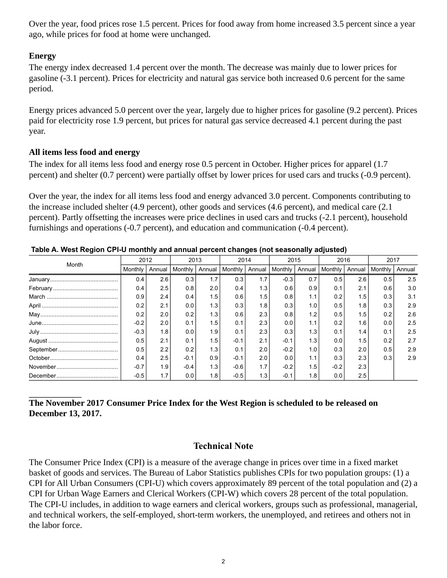Over the year, food prices rose 1.5 percent. Prices for food away from home increased 3.5 percent since a year ago, while prices for food at home were unchanged.

## **Energy**

The energy index decreased 1.4 percent over the month. The decrease was mainly due to lower prices for gasoline (-3.1 percent). Prices for electricity and natural gas service both increased 0.6 percent for the same period.

Energy prices advanced 5.0 percent over the year, largely due to higher prices for gasoline (9.2 percent). Prices paid for electricity rose 1.9 percent, but prices for natural gas service decreased 4.1 percent during the past year.

#### **All items less food and energy**

The index for all items less food and energy rose 0.5 percent in October. Higher prices for apparel (1.7 percent) and shelter (0.7 percent) were partially offset by lower prices for used cars and trucks (-0.9 percent).

Over the year, the index for all items less food and energy advanced 3.0 percent. Components contributing to the increase included shelter (4.9 percent), other goods and services (4.6 percent), and medical care (2.1 percent). Partly offsetting the increases were price declines in used cars and trucks (-2.1 percent), household furnishings and operations (-0.7 percent), and education and communication (-0.4 percent).

| . <u>.</u> .<br>Month | 2012    |        | 2013    |        | –<br>2014 |        | 2015    |        | 2016    |        | 2017    |        |
|-----------------------|---------|--------|---------|--------|-----------|--------|---------|--------|---------|--------|---------|--------|
|                       | Monthly | Annual | Monthly | Annual | Monthly   | Annual | Monthly | Annual | Monthly | Annual | Monthly | Annual |
|                       | 0.4     | 2.6    | 0.3     | 1.7    | 0.3       | 1.7    | $-0.3$  | 0.7    | 0.5     | 2.6    | 0.5     | 2.5    |
|                       | 0.4     | 2.5    | 0.8     | 2.0    | 0.4       | 1.3    | 0.6     | 0.9    | 0.1     | 2.1    | 0.6     | 3.0    |
|                       | 0.9     | 2.4    | 0.4     | 1.5    | 0.6       | 1.5    | 0.8     | 1.1    | 0.2     | 1.5    | 0.3     | 3.1    |
|                       | 0.2     | 2.1    | 0.0     | 1.3    | 0.3       | 1.8    | 0.3     | 1.0    | 0.5     | 1.8    | 0.3     | 2.9    |
|                       | 0.2     | 2.0    | 0.2     | 1.3    | 0.6       | 2.3    | 0.8     | 1.2    | 0.5     | 1.5    | 0.2     | 2.6    |
|                       | $-0.2$  | 2.0    | 0.1     | 1.5    | 0.1       | 2.3    | 0.0     | 1.1    | 0.2     | 1.6    | 0.0     | 2.5    |
|                       | $-0.3$  | 1.8    | 0.0     | 1.9    | 0.1       | 2.3    | 0.3     | 1.3    | 0.1     | 1.4    | 0.1     | 2.5    |
|                       | 0.5     | 2.1    | 0.1     | 1.5    | $-0.1$    | 2.1    | $-0.1$  | 1.3    | 0.0     | 1.5    | 0.2     | 2.7    |
|                       | 0.5     | 2.2    | 0.2     | 1.3    | 0.1       | 2.0    | $-0.2$  | 1.0    | 0.3     | 2.0    | 0.5     | 2.9    |
|                       | 0.4     | 2.5    | $-0.1$  | 0.9    | $-0.1$    | 2.0    | 0.0     | 1.1    | 0.3     | 2.3    | 0.3     | 2.9    |
|                       | $-0.7$  | 1.9    | $-0.4$  | 1.3    | $-0.6$    | 1.7    | $-0.2$  | 1.5    | $-0.2$  | 2.3    |         |        |
|                       | $-0.5$  | 1.7    | 0.0     | 1.8    | $-0.5$    | 1.3    | $-0.1$  | 1.8    | 0.0     | 2.5    |         |        |

**Table A. West Region CPI-U monthly and annual percent changes (not seasonally adjusted)** 

## **The November 2017 Consumer Price Index for the West Region is scheduled to be released on December 13, 2017.**

## **Technical Note**

The Consumer Price Index (CPI) is a measure of the average change in prices over time in a fixed market basket of goods and services. The Bureau of Labor Statistics publishes CPIs for two population groups: (1) a CPI for All Urban Consumers (CPI-U) which covers approximately 89 percent of the total population and (2) a CPI for Urban Wage Earners and Clerical Workers (CPI-W) which covers 28 percent of the total population. The CPI-U includes, in addition to wage earners and clerical workers, groups such as professional, managerial, and technical workers, the self-employed, short-term workers, the unemployed, and retirees and others not in the labor force.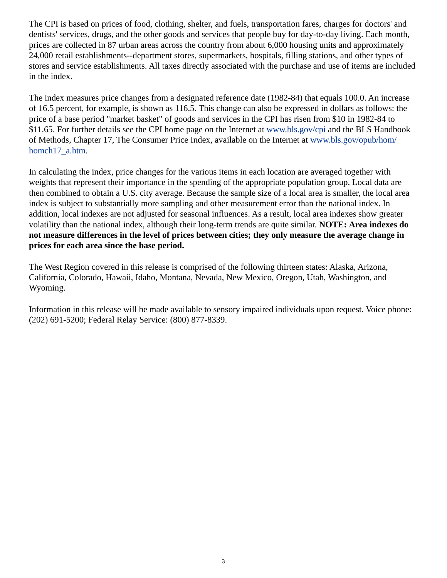The CPI is based on prices of food, clothing, shelter, and fuels, transportation fares, charges for doctors' and dentists' services, drugs, and the other goods and services that people buy for day-to-day living. Each month, prices are collected in 87 urban areas across the country from about 6,000 housing units and approximately 24,000 retail establishments--department stores, supermarkets, hospitals, filling stations, and other types of stores and service establishments. All taxes directly associated with the purchase and use of items are included in the index.

The index measures price changes from a designated reference date (1982-84) that equals 100.0. An increase of 16.5 percent, for example, is shown as 116.5. This change can also be expressed in dollars as follows: the price of a base period "market basket" of goods and services in the CPI has risen from \$10 in 1982-84 to \$11.65. For further details see the CPI home page on the Internet at [www.bls.gov/cpi](https://www.bls.gov/cpi) and the BLS Handbook of Methods, Chapter 17, The Consumer Price Index, available on the Internet at [www.bls.gov/opub/hom/](https://www.bls.gov/opub/hom/homch17_a.htm) [homch17\\_a.htm](https://www.bls.gov/opub/hom/homch17_a.htm).

In calculating the index, price changes for the various items in each location are averaged together with weights that represent their importance in the spending of the appropriate population group. Local data are then combined to obtain a U.S. city average. Because the sample size of a local area is smaller, the local area index is subject to substantially more sampling and other measurement error than the national index. In addition, local indexes are not adjusted for seasonal influences. As a result, local area indexes show greater volatility than the national index, although their long-term trends are quite similar. **NOTE: Area indexes do not measure differences in the level of prices between cities; they only measure the average change in prices for each area since the base period.**

The West Region covered in this release is comprised of the following thirteen states: Alaska, Arizona, California, Colorado, Hawaii, Idaho, Montana, Nevada, New Mexico, Oregon, Utah, Washington, and Wyoming.

Information in this release will be made available to sensory impaired individuals upon request. Voice phone: (202) 691-5200; Federal Relay Service: (800) 877-8339.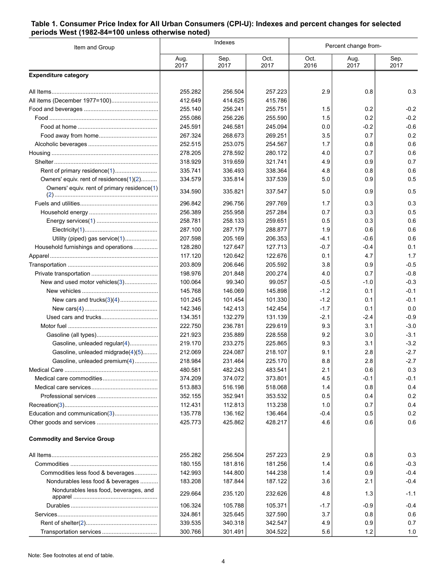#### <span id="page-3-0"></span>**Table 1. Consumer Price Index for All Urban Consumers (CPI-U): Indexes and percent changes for selected periods West (1982-84=100 unless otherwise noted)**

| Item and Group                              |                    | Indexes            |                    | Percent change from- |              |               |  |
|---------------------------------------------|--------------------|--------------------|--------------------|----------------------|--------------|---------------|--|
|                                             | Aug.<br>2017       | Sep.<br>2017       | Oct.<br>2017       | Oct.<br>2016         | Aug.<br>2017 | Sep.<br>2017  |  |
| <b>Expenditure category</b>                 |                    |                    |                    |                      |              |               |  |
|                                             | 255.282            | 256.504            | 257.223            | 2.9                  | 0.8          | 0.3           |  |
| All items (December 1977=100)               | 412.649            | 414.625            | 415.786            |                      |              |               |  |
|                                             | 255.140            | 256.241            | 255.751            | 1.5                  | 0.2          | $-0.2$        |  |
|                                             | 255.086            | 256.226            | 255.590            | 1.5                  | 0.2          | $-0.2$        |  |
|                                             | 245.591            | 246.581            | 245.094            | 0.0                  | $-0.2$       | $-0.6$        |  |
|                                             | 267.324            | 268.673            | 269.251            | 3.5                  | 0.7          | 0.2           |  |
|                                             | 252.515            | 253.075            | 254.567            | 1.7                  | 0.8          | 0.6           |  |
|                                             | 278.205            | 278.592            | 280.172            | 4.0                  | 0.7          | 0.6           |  |
|                                             | 318.929            | 319.659            | 321.741            | 4.9                  | 0.9          | 0.7           |  |
| Rent of primary residence(1)                | 335.741            | 336.493            | 338.364            | 4.8                  | 0.8          | 0.6           |  |
| Owners' equiv. rent of residences(1)(2)     | 334.579            | 335.814            | 337.539            | 5.0                  | 0.9          | 0.5           |  |
| Owners' equiv. rent of primary residence(1) | 334.590            | 335.821            | 337.547            | 5.0                  | 0.9          | 0.5           |  |
|                                             | 296.842            | 296.756            | 297.769            | 1.7                  | 0.3          | 0.3           |  |
|                                             | 256.389            | 255.958            | 257.284            | 0.7                  | 0.3          | 0.5           |  |
|                                             | 258.781            | 258.133            | 259.651            | 0.5                  | 0.3          | 0.6           |  |
|                                             | 287.100            | 287.179            | 288.877            | 1.9                  | 0.6          | 0.6           |  |
| Utility (piped) gas service(1)              | 207.598            | 205.169            | 206.353            | -4.1                 | $-0.6$       | 0.6           |  |
| Household furnishings and operations        | 128.280            | 127.647            | 127.713            | $-0.7$               | -0.4         | 0.1           |  |
|                                             | 117.120            | 120.642            | 122.676            | 0.1                  | 4.7          | 1.7           |  |
|                                             | 203.809            | 206.646            | 205.592            | 3.8                  | 0.9          | $-0.5$        |  |
|                                             | 198.976            | 201.848            | 200.274            | 4.0                  | 0.7          | $-0.8$        |  |
| New and used motor vehicles(3)              | 100.064            | 99.340             | 99.057             | $-0.5$               | $-1.0$       | $-0.3$        |  |
|                                             | 145.768            | 146.069            | 145.898            | $-1.2$               | 0.1          | $-0.1$        |  |
|                                             | 101.245            | 101.454            | 101.330            | $-1.2$               | 0.1          | $-0.1$<br>0.0 |  |
|                                             | 142.346            | 142.413            | 142.454            | $-1.7$               | 0.1          | $-0.9$        |  |
|                                             | 134.351<br>222.750 | 132.279<br>236.781 | 131.139<br>229.619 | -2.1<br>9.3          | -2.4<br>3.1  | $-3.0$        |  |
|                                             | 221.923            | 235.889            | 228.558            | 9.2                  | 3.0          | $-3.1$        |  |
| Gasoline, unleaded regular(4)               | 219.170            | 233.275            | 225.865            | 9.3                  | 3.1          | $-3.2$        |  |
| Gasoline, unleaded midgrade(4)(5)           | 212.069            | 224.087            | 218.107            | 9.1                  | 2.8          | $-2.7$        |  |
| Gasoline, unleaded premium(4)               | 218.984            | 231.464            | 225.170            | 8.8                  | 2.8          | $-2.7$        |  |
|                                             | 480.581            | 482.243            | 483.541            | 2.1                  | 0.6          | 0.3           |  |
|                                             | 374.209            | 374.072            | 373.801            | 4.5                  | -0.1         | -0.1          |  |
|                                             | 513.883            | 516.198            | 518.068            | 1.4                  | 0.8          | 0.4           |  |
|                                             | 352.155            | 352.941            | 353.532            | 0.5                  | 0.4          | 0.2           |  |
|                                             | 112.431            | 112.813            | 113.238            | 1.0                  | 0.7          | 0.4           |  |
| Education and communication(3)              | 135.778            | 136.162            | 136.464            | $-0.4$               | 0.5          | 0.2           |  |
|                                             | 425.773            | 425.862            | 428.217            | 4.6                  | 0.6          | 0.6           |  |
| <b>Commodity and Service Group</b>          |                    |                    |                    |                      |              |               |  |
|                                             | 255.282            | 256.504            | 257.223            | 2.9                  | 0.8          | 0.3           |  |
|                                             | 180.155            | 181.816            | 181.256            | 1.4                  | 0.6          | $-0.3$        |  |
| Commodities less food & beverages           | 142.993            | 144.800            | 144.238            | 1.4                  | 0.9          | $-0.4$        |  |
| Nondurables less food & beverages           | 183.208            | 187.844            | 187.122            | 3.6                  | 2.1          | $-0.4$        |  |
| Nondurables less food, beverages, and       | 229.664            | 235.120            | 232.626            | 4.8                  | 1.3          | $-1.1$        |  |
|                                             | 106.324            | 105.788            | 105.371            | $-1.7$               | -0.9         | $-0.4$        |  |
|                                             | 324.861            | 325.645            | 327.590            | 3.7                  | 0.8          | 0.6           |  |
|                                             | 339.535            | 340.318            | 342.547            | 4.9                  | 0.9          | 0.7           |  |
| Transportation services                     | 300.766            | 301.491            | 304.522            | 5.6                  | 1.2          | 1.0           |  |